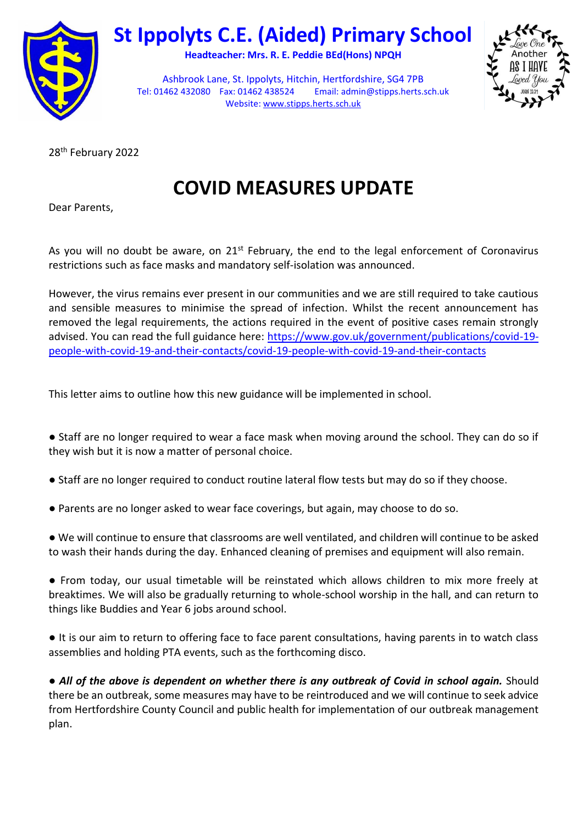

## **St Ippolyts C.E. (Aided) Primary School**

**Headteacher: Mrs. R. E. Peddie BEd(Hons) NPQH**



Ashbrook Lane, St. Ippolyts, Hitchin, Hertfordshire, SG4 7PB Tel: 01462 432080 Fax: 01462 438524 Email[: admin@stipps.herts.sch.uk](mailto:admin.stipps@thegrid.org.uk)  Website: [www.stipps.herts.sch.uk](http://www.stipps.herts.sch.uk/)

28th February 2022

**COVID MEASURES UPDATE**

Dear Parents,

As you will no doubt be aware, on  $21<sup>st</sup>$  February, the end to the legal enforcement of Coronavirus restrictions such as face masks and mandatory self-isolation was announced.

However, the virus remains ever present in our communities and we are still required to take cautious and sensible measures to minimise the spread of infection. Whilst the recent announcement has removed the legal requirements, the actions required in the event of positive cases remain strongly advised. You can read the full guidance here: [https://www.gov.uk/government/publications/covid-19](https://www.gov.uk/government/publications/covid-19-people-with-covid-19-and-their-contacts/covid-19-people-with-covid-19-and-their-contacts) [people-with-covid-19-and-their-contacts/covid-19-people-with-covid-19-and-their-contacts](https://www.gov.uk/government/publications/covid-19-people-with-covid-19-and-their-contacts/covid-19-people-with-covid-19-and-their-contacts)

This letter aims to outline how this new guidance will be implemented in school.

● Staff are no longer required to wear a face mask when moving around the school. They can do so if they wish but it is now a matter of personal choice.

- Staff are no longer required to conduct routine lateral flow tests but may do so if they choose.
- Parents are no longer asked to wear face coverings, but again, may choose to do so.

● We will continue to ensure that classrooms are well ventilated, and children will continue to be asked to wash their hands during the day. Enhanced cleaning of premises and equipment will also remain.

● From today, our usual timetable will be reinstated which allows children to mix more freely at breaktimes. We will also be gradually returning to whole-school worship in the hall, and can return to things like Buddies and Year 6 jobs around school.

● It is our aim to return to offering face to face parent consultations, having parents in to watch class assemblies and holding PTA events, such as the forthcoming disco.

● *All of the above is dependent on whether there is any outbreak of Covid in school again.* Should there be an outbreak, some measures may have to be reintroduced and we will continue to seek advice from Hertfordshire County Council and public health for implementation of our outbreak management plan.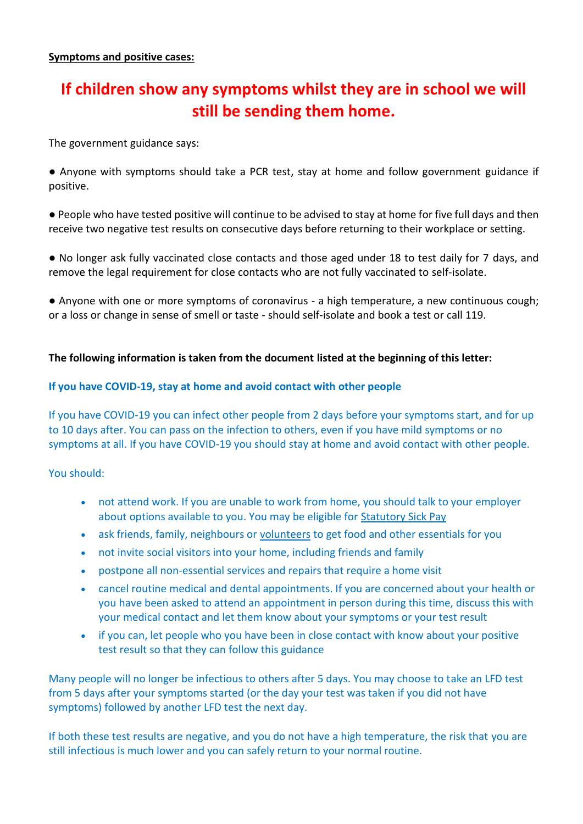## **If children show any symptoms whilst they are in school we will still be sending them home.**

The government guidance says:

● Anyone with symptoms should take a PCR test, stay at home and follow government guidance if positive.

● People who have tested positive will continue to be advised to stay at home for five full days and then receive two negative test results on consecutive days before returning to their workplace or setting.

● No longer ask fully vaccinated close contacts and those aged under 18 to test daily for 7 days, and remove the legal requirement for close contacts who are not fully vaccinated to self-isolate.

● Anyone with one or more symptoms of coronavirus - a high temperature, a new continuous cough; or a loss or change in sense of smell or taste - should self-isolate and book a test or call 119.

## **The following information is taken from the document listed at the beginning of this letter:**

## **If you have COVID-19, stay at home and avoid contact with other people**

If you have COVID-19 you can infect other people from 2 days before your symptoms start, and for up to 10 days after. You can pass on the infection to others, even if you have mild symptoms or no symptoms at all. If you have COVID-19 you should stay at home and avoid contact with other people.

You should:

- not attend work. If you are unable to work from home, you should talk to your employer about options available to you. You may be eligible for [Statutory Sick Pay](https://www.gov.uk/statutory-sick-pay)
- ask friends, family, neighbours or [volunteers](https://www.gov.uk/government/publications/covid-19-people-with-covid-19-and-their-contacts/covid-19-people-with-covid-19-and-their-contacts#volunteers) to get food and other essentials for you
- not invite social visitors into your home, including friends and family
- postpone all non-essential services and repairs that require a home visit
- cancel routine medical and dental appointments. If you are concerned about your health or you have been asked to attend an appointment in person during this time, discuss this with your medical contact and let them know about your symptoms or your test result
- if you can, let people who you have been in close contact with know about your positive test result so that they can follow this guidance

Many people will no longer be infectious to others after 5 days. You may choose to take an LFD test from 5 days after your symptoms started (or the day your test was taken if you did not have symptoms) followed by another LFD test the next day.

If both these test results are negative, and you do not have a high temperature, the risk that you are still infectious is much lower and you can safely return to your normal routine.